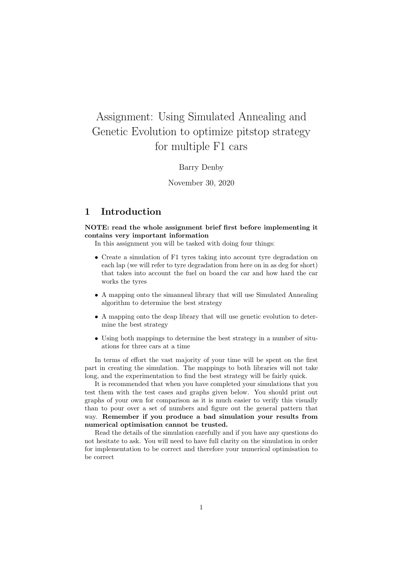# Assignment: Using Simulated Annealing and Genetic Evolution to optimize pitstop strategy for multiple F1 cars

#### Barry Denby

November 30, 2020

# 1 Introduction

NOTE: read the whole assignment brief first before implementing it contains very important information

In this assignment you will be tasked with doing four things:

- Create a simulation of F1 tyres taking into account tyre degradation on each lap (we will refer to tyre degradation from here on in as deg for short) that takes into account the fuel on board the car and how hard the car works the tyres
- A mapping onto the simanneal library that will use Simulated Annealing algorithm to determine the best strategy
- A mapping onto the deap library that will use genetic evolution to determine the best strategy
- Using both mappings to determine the best strategy in a number of situations for three cars at a time

In terms of effort the vast majority of your time will be spent on the first part in creating the simulation. The mappings to both libraries will not take long, and the experimentation to find the best strategy will be fairly quick.

It is recommended that when you have completed your simulations that you test them with the test cases and graphs given below. You should print out graphs of your own for comparison as it is much easier to verify this visually than to pour over a set of numbers and figure out the general pattern that way. Remember if you produce a bad simulation your results from numerical optimisation cannot be trusted.

Read the details of the simulation carefully and if you have any questions do not hesitate to ask. You will need to have full clarity on the simulation in order for implementation to be correct and therefore your numerical optimisation to be correct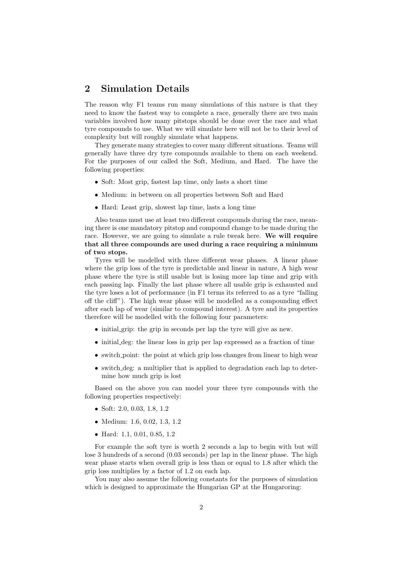# 2 Simulation Details

The reason why F1 teams run many simulations of this nature is that they need to know the fastest way to complete a race, generally there are two main variables involved how many pitstops should be done over the race and what tyre compounds to use. What we will simulate here will not be to their level of complexity but will roughly simulate what happens.

They generate many strategies to cover many different situations. Teams will generally have three dry tyre compounds available to them on each weekend. For the purposes of our called the Soft, Medium, and Hard. The have the following properties:

- Soft: Most grip, fastest lap time, only lasts a short time
- Medium: in between on all properties between Soft and Hard
- Hard: Least grip, slowest lap time, lasts a long time

Also teams must use at least two different compounds during the race, meaning there is one mandatory pitstop and compound change to be made during the race. However, we are going to simulate a rule tweak here. We will require that all three compounds are used during a race requiring a minimum of two stops.

Tyres will be modelled with three different wear phases. A linear phase where the grip loss of the tyre is predictable and linear in nature. A high wear phase where the tyre is still usable but is losing more lap time and grip with each passing lap. Finally the last phase where all usable grip is exhausted and the tyre loses a lot of performance (in F1 terms its referred to as a tyre "falling off the cliff"). The high wear phase will be modelled as a compounding effect after each lap of wear (similar to compound interest). A tyre and its properties therefore will be modelled with the following four parameters:

- initial grip: the grip in seconds per lap the tyre will give as new.
- initial deg: the linear loss in grip per lap expressed as a fraction of time
- switch point: the point at which grip loss changes from linear to high wear
- switch deg: a multiplier that is applied to degradation each lap to determine how much grip is lost

Based on the above you can model your three tyre compounds with the following properties respectively:

- Soft: 2.0, 0.03, 1.8, 1.2
- Medium: 1.6, 0.02, 1.3, 1.2
- Hard: 1.1, 0.01, 0.85, 1.2

For example the soft tyre is worth 2 seconds a lap to begin with but will lose 3 hundreds of a second (0.03 seconds) per lap in the linear phase. The high wear phase starts when overall grip is less than or equal to 1.8 after which the grip loss multiplies by a factor of 1.2 on each lap.

You may also assume the following constants for the purposes of simulation which is designed to approximate the Hungarian GP at the Hungaroring: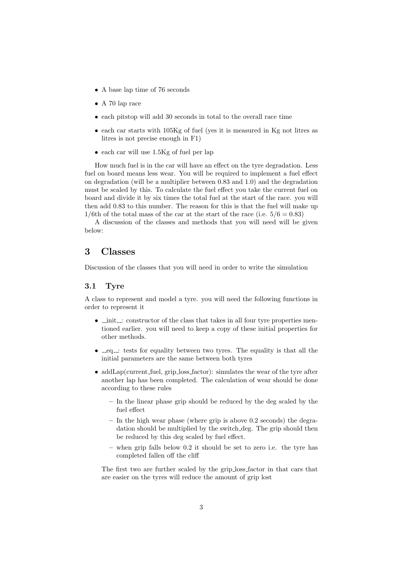- A base lap time of 76 seconds
- A 70 lap race
- each pitstop will add 30 seconds in total to the overall race time
- each car starts with 105Kg of fuel (yes it is measured in Kg not litres as litres is not precise enough in F1)
- each car will use 1.5Kg of fuel per lap

How much fuel is in the car will have an effect on the tyre degradation. Less fuel on board means less wear. You will be required to implement a fuel effect on degradation (will be a multiplier between 0.83 and 1.0) and the degradation must be scaled by this. To calculate the fuel effect you take the current fuel on board and divide it by six times the total fuel at the start of the race. you will then add 0.83 to this number. The reason for this is that the fuel will make up  $1/6$ th of the total mass of the car at the start of the race (i.e.  $5/6 = 0.83$ )

A discussion of the classes and methods that you will need will be given below:

### 3 Classes

Discussion of the classes that you will need in order to write the simulation

#### 3.1 Tyre

A class to represent and model a tyre. you will need the following functions in order to represent it

- $\bullet$   $\bot$  init  $\bot$ : constructor of the class that takes in all four tyre properties mentioned earlier. you will need to keep a copy of these initial properties for other methods.
- $eq$  =  $eq$  =  $t$  tests for equality between two tyres. The equality is that all the initial parameters are the same between both tyres
- addLap(current\_fuel, grip\_loss\_factor): simulates the wear of the tyre after another lap has been completed. The calculation of wear should be done according to these rules
	- In the linear phase grip should be reduced by the deg scaled by the fuel effect
	- In the high wear phase (where grip is above 0.2 seconds) the degradation should be multiplied by the switch deg. The grip should then be reduced by this deg scaled by fuel effect.
	- when grip falls below 0.2 it should be set to zero i.e. the tyre has completed fallen off the cliff

The first two are further scaled by the grip loss factor in that cars that are easier on the tyres will reduce the amount of grip lost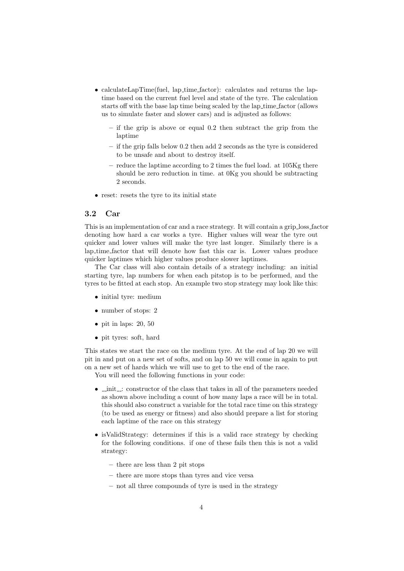- calculateLapTime(fuel, lap\_time\_factor): calculates and returns the laptime based on the current fuel level and state of the tyre. The calculation starts off with the base lap time being scaled by the lap time factor (allows us to simulate faster and slower cars) and is adjusted as follows:
	- if the grip is above or equal 0.2 then subtract the grip from the laptime
	- if the grip falls below 0.2 then add 2 seconds as the tyre is considered to be unsafe and about to destroy itself.
	- reduce the laptime according to 2 times the fuel load. at 105Kg there should be zero reduction in time. at 0Kg you should be subtracting 2 seconds.
- reset: resets the tyre to its initial state

#### 3.2 Car

This is an implementation of car and a race strategy. It will contain a grip loss factor denoting how hard a car works a tyre. Higher values will wear the tyre out quicker and lower values will make the tyre last longer. Similarly there is a lap time factor that will denote how fast this car is. Lower values produce quicker laptimes which higher values produce slower laptimes.

The Car class will also contain details of a strategy including: an initial starting tyre, lap numbers for when each pitstop is to be performed, and the tyres to be fitted at each stop. An example two stop strategy may look like this:

- initial tyre: medium
- number of stops: 2
- $\bullet$  pit in laps: 20, 50
- pit tyres: soft, hard

This states we start the race on the medium tyre. At the end of lap 20 we will pit in and put on a new set of softs, and on lap 50 we will come in again to put on a new set of hards which we will use to get to the end of the race.

You will need the following functions in your code:

- $\bullet$   $\_\_init\_\_$ : constructor of the class that takes in all of the parameters needed as shown above including a count of how many laps a race will be in total. this should also construct a variable for the total race time on this strategy (to be used as energy or fitness) and also should prepare a list for storing each laptime of the race on this strategy
- isValidStrategy: determines if this is a valid race strategy by checking for the following conditions. if one of these fails then this is not a valid strategy:
	- there are less than 2 pit stops
	- there are more stops than tyres and vice versa
	- not all three compounds of tyre is used in the strategy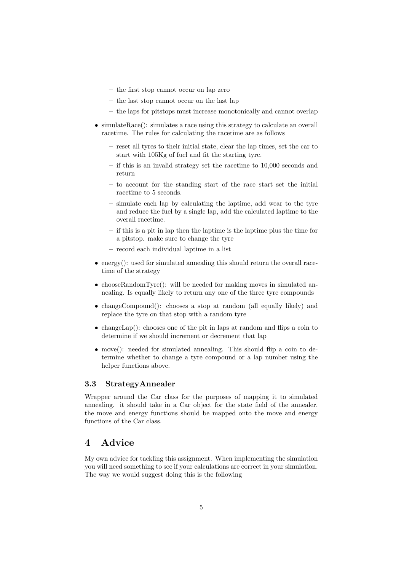- the first stop cannot occur on lap zero
- the last stop cannot occur on the last lap
- the laps for pitstops must increase monotonically and cannot overlap
- simulateRace(): simulates a race using this strategy to calculate an overall racetime. The rules for calculating the racetime are as follows
	- reset all tyres to their initial state, clear the lap times, set the car to start with 105Kg of fuel and fit the starting tyre.
	- if this is an invalid strategy set the racetime to 10,000 seconds and return
	- to account for the standing start of the race start set the initial racetime to 5 seconds.
	- simulate each lap by calculating the laptime, add wear to the tyre and reduce the fuel by a single lap, add the calculated laptime to the overall racetime.
	- if this is a pit in lap then the laptime is the laptime plus the time for a pitstop. make sure to change the tyre
	- record each individual laptime in a list
- $\bullet$  energy(): used for simulated annealing this should return the overall racetime of the strategy
- chooseRandomTyre(): will be needed for making moves in simulated annealing. Is equally likely to return any one of the three tyre compounds
- changeCompound(): chooses a stop at random (all equally likely) and replace the tyre on that stop with a random tyre
- changeLap(): chooses one of the pit in laps at random and flips a coin to determine if we should increment or decrement that lap
- move(): needed for simulated annealing. This should flip a coin to determine whether to change a tyre compound or a lap number using the helper functions above.

#### 3.3 StrategyAnnealer

Wrapper around the Car class for the purposes of mapping it to simulated annealing. it should take in a Car object for the state field of the annealer. the move and energy functions should be mapped onto the move and energy functions of the Car class.

# 4 Advice

My own advice for tackling this assignment. When implementing the simulation you will need something to see if your calculations are correct in your simulation. The way we would suggest doing this is the following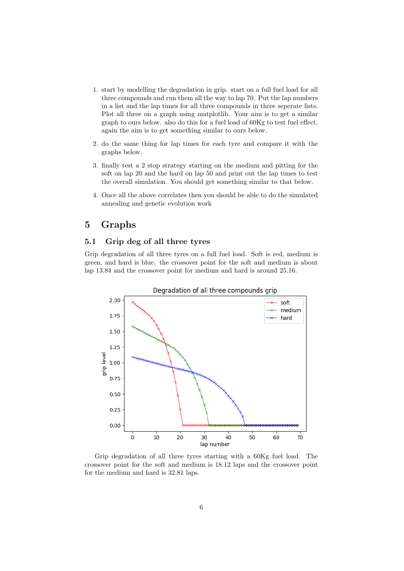- 1. start by modelling the degradation in grip. start on a full fuel load for all three compounds and run them all the way to lap 70. Put the lap numbers in a list and the lap times for all three compounds in three seperate lists. Plot all three on a graph using matplotlib. Your aim is to get a similar graph to ours below. also do this for a fuel load of 60Kg to test fuel effect, again the aim is to get something similar to ours below.
- 2. do the same thing for lap times for each tyre and compare it with the graphs below.
- 3. finally test a 2 stop strategy starting on the medium and pitting for the soft on lap 20 and the hard on lap 50 and print out the lap times to test the overall simulation. You should get something similar to that below.
- 4. Once all the above correlates then you should be able to do the simulated annealing and genetic evolution work

### 5 Graphs

### 5.1 Grip deg of all three tyres

Grip degradation of all three tyres on a full fuel load. Soft is red, medium is green, and hard is blue. the crossover point for the soft and medium is about lap 13.84 and the crossover point for medium and hard is around 25.16.



Grip degradation of all three tyres starting with a 60Kg fuel load. The crossover point for the soft and medium is 18.12 laps and the crossover point for the medium and hard is 32.81 laps.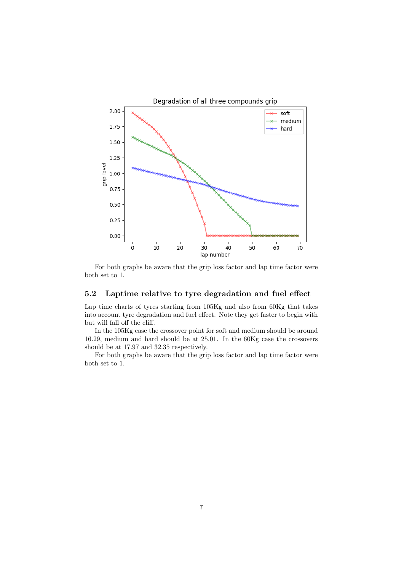

For both graphs be aware that the grip loss factor and lap time factor were both set to 1.

### 5.2 Laptime relative to tyre degradation and fuel effect

Lap time charts of tyres starting from 105Kg and also from 60Kg that takes into account tyre degradation and fuel effect. Note they get faster to begin with but will fall off the cliff.

In the 105Kg case the crossover point for soft and medium should be around 16.29, medium and hard should be at 25.01. In the 60Kg case the crossovers should be at 17.97 and 32.35 respectively.

For both graphs be aware that the grip loss factor and lap time factor were both set to 1.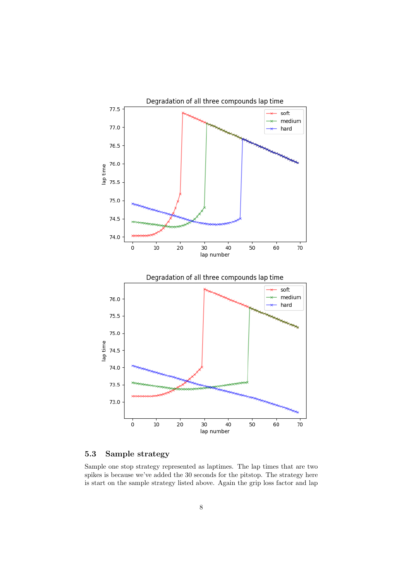

### 5.3 Sample strategy

Sample one stop strategy represented as laptimes. The lap times that are two spikes is because we've added the 30 seconds for the pitstop. The strategy here is start on the sample strategy listed above. Again the grip loss factor and lap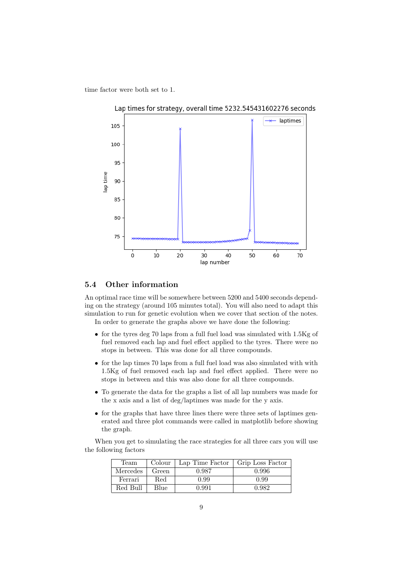time factor were both set to 1.



#### 5.4 Other information

An optimal race time will be somewhere between 5200 and 5400 seconds depending on the strategy (around 105 minutes total). You will also need to adapt this simulation to run for genetic evolution when we cover that section of the notes. In order to generate the graphs above we have done the following:

- for the tyres deg 70 laps from a full fuel load was simulated with 1.5Kg of fuel removed each lap and fuel effect applied to the tyres. There were no stops in between. This was done for all three compounds.
- for the lap times 70 laps from a full fuel load was also simulated with with 1.5Kg of fuel removed each lap and fuel effect applied. There were no stops in between and this was also done for all three compounds.
- To generate the data for the graphs a list of all lap numbers was made for the x axis and a list of deg/laptimes was made for the y axis.
- for the graphs that have three lines there were three sets of laptimes generated and three plot commands were called in matplotlib before showing the graph.

When you get to simulating the race strategies for all three cars you will use the following factors

| Team     | Colour | Lap Time Factor | Grip Loss Factor |
|----------|--------|-----------------|------------------|
| Mercedes | Green  | 0.987           | 0.996            |
| Ferrari  | Red    | 0.99            | 0.99             |
| Red Bull | Blue   | 0.991           | 0.982            |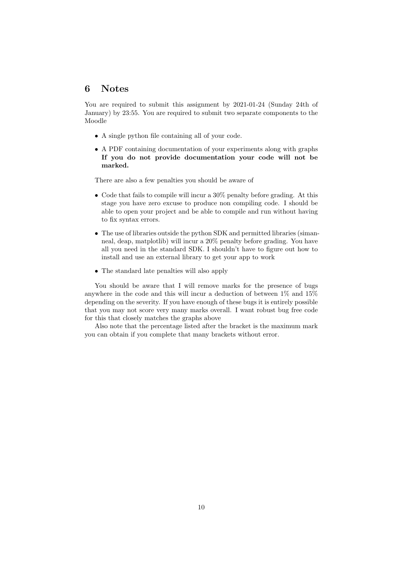### 6 Notes

You are required to submit this assignment by 2021-01-24 (Sunday 24th of January) by 23:55. You are required to submit two separate components to the Moodle

- A single python file containing all of your code.
- A PDF containing documentation of your experiments along with graphs If you do not provide documentation your code will not be marked.

There are also a few penalties you should be aware of

- Code that fails to compile will incur a 30% penalty before grading. At this stage you have zero excuse to produce non compiling code. I should be able to open your project and be able to compile and run without having to fix syntax errors.
- The use of libraries outside the python SDK and permitted libraries (simanneal, deap, matplotlib) will incur a 20% penalty before grading. You have all you need in the standard SDK. I shouldn't have to figure out how to install and use an external library to get your app to work
- The standard late penalties will also apply

You should be aware that I will remove marks for the presence of bugs anywhere in the code and this will incur a deduction of between 1% and 15% depending on the severity. If you have enough of these bugs it is entirely possible that you may not score very many marks overall. I want robust bug free code for this that closely matches the graphs above

Also note that the percentage listed after the bracket is the maximum mark you can obtain if you complete that many brackets without error.